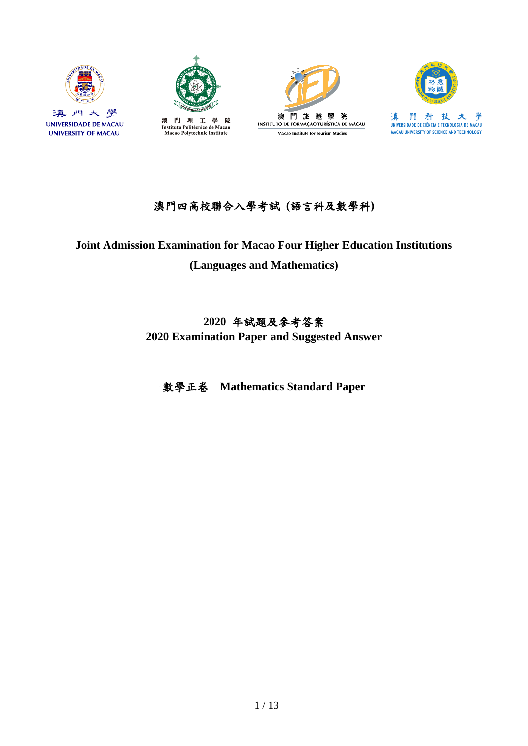



Instituto Politécnico de Macau<br>Macao Polytechnic Institute





## 澳門四高校聯合入學考試 **(**語言科及數學科**)**

# **Joint Admission Examination for Macao Four Higher Education Institutions (Languages and Mathematics)**

# **2020** 年試題及參考答案 **2020 Examination Paper and Suggested Answer**

數學正卷 **Mathematics Standard Paper**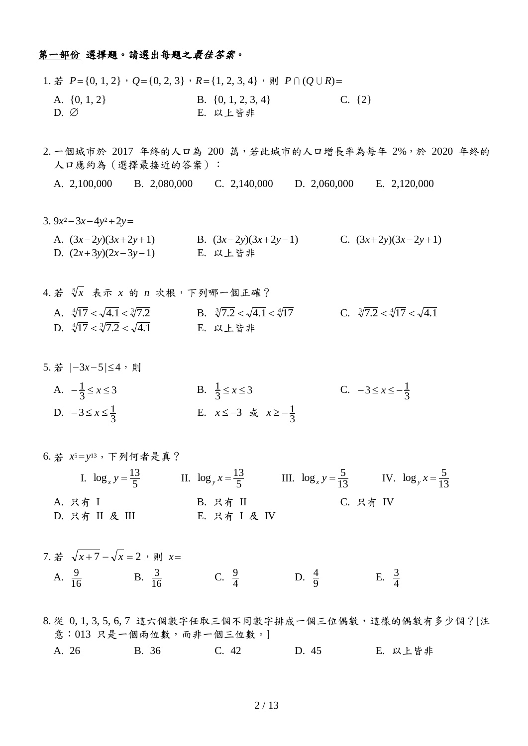#### 第一部份 選擇題。請選出每題之最佳答案。

- 1. 若  $P$ ={0, 1, 2},  $Q$ ={0, 2, 3},  $R$ ={1, 2, 3, 4},則  $P∩(Q∪R)$ = A.  $\{0, 1, 2\}$  B.  $\{0, 1, 2, 3, 4\}$  C.  $\{2\}$ D. E. 以上皆非
- 2. 一個城市於 2017 年終的人口為 200 萬,若此城市的人口增長率為每年 2%,於 2020 年終的 人口應約為 (選擇最接近的答案):
	- A. 2,100,000 B. 2,080,000 C. 2,140,000 D. 2,060,000 E. 2,120,000
- 3.  $9x^2 3x 4y^2 + 2y = 0$ 
	- A.  $(3x-2y)(3x+2y+1)$  B.  $(3x-2y)(3x+2y-1)$  C.  $(3x+2y)(3x-2y+1)$ D.  $(2x+3y)(2x-3y-1)$  E. 以上皆非
- 4. 若  $\sqrt[n]{x}$  表示 x 的 n 次根,下列哪一個正確? A.  $\sqrt[4]{17} < \sqrt{4.1} < \sqrt[3]{7.2}$ B.  $\sqrt[3]{7.2} < \sqrt{4.1} < \sqrt[4]{17}$  C.  $\sqrt[3]{7.2} < \sqrt[4]{17} < \sqrt{4.1}$ D.  $\sqrt[4]{17} < \sqrt[3]{7.2} < \sqrt{4.1}$ E. 以上皆非
- 5. 若  $|-3x-5| \leq 4$ , 則
	- A.  $-\frac{1}{3} \le x \le 3$ B.  $\frac{1}{3} \le x \le 3$ <br>C.  $-3 \le x \le -\frac{1}{3}$ D.  $-3 \le x \le \frac{1}{3}$ E.  $x \le -3$  或  $x \ge -\frac{1}{3}$
- 6. 若 *x*5*y*13,下列何者是真? I.  $\log_x y = \frac{13}{5}$  II.  $\log_y x = \frac{13}{5}$  III.  $\log_x y = \frac{5}{13}$  $\log_x y = \frac{5}{13}$  IV.  $\log_y x = \frac{5}{13}$  $\log_{1} x = \frac{5}{13}$ A. 只有 I B. 只有 II C. 只有 IV D. 只有 II 及 III E. 只有 I 及 IV
- 7. 若  $\sqrt{x}+7-\sqrt{x}=2$ ,則  $x=$ A.  $\frac{9}{16}$  $\frac{9}{16}$  B.  $\frac{3}{16}$  $\frac{3}{16}$  C.  $\frac{9}{4}$  $\frac{9}{4}$  D.  $\frac{4}{9}$  $\frac{4}{9}$  E.  $\frac{3}{4}$ 3
- 8. 從 0, 1, 3, 5, 6, 7 這六個數字任取三個不同數字排成一個三位偶數,這樣的偶數有多少個?[注 意:013 只是一個兩位數,而非一個三位數。] A. 26 B. 36 C. 42 D. 45 E. 以上皆非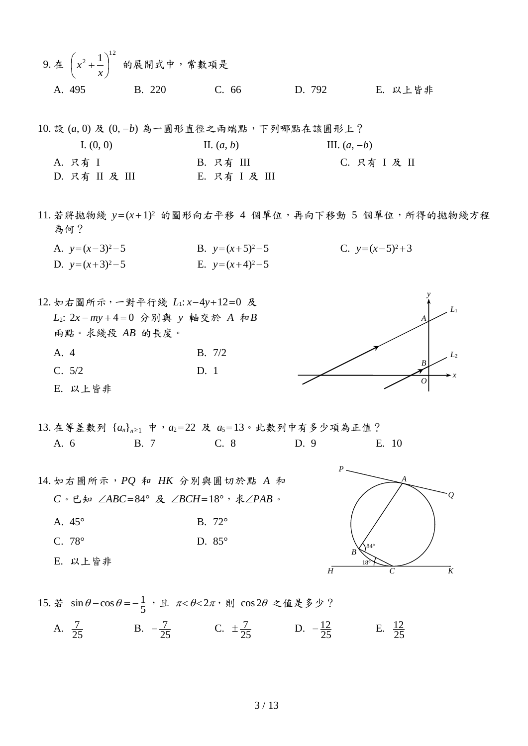- 9. 在  $^{2} + \frac{1}{2}$ <sup>12</sup>  $\bigg)$  $\left(x^2+\frac{1}{x}\right)$  $\setminus$  $\int x^2 +$ *x*  $\left| x^2 + \frac{1}{x} \right|$  的展開式中,常數項是 A. 495 B. 220 C. 66 D. 792 E. 以上皆非
- 10. 設 (*a*, 0) 及 (0, *b*) 為一圓形直徑之兩端點,下列哪點在該圓形上? I.  $(0, 0)$  III.  $(a, b)$  III.  $(a, -b)$ A. 只有 I B. 只有 III C. 只有 I 及 II D. 只有 II 及 III E. 只有 I 及 III
- 11. 若將拋物綫 y=(x+1)<sup>2</sup> 的圖形向右平移 4 個單位,再向下移動 5 個單位,所得的拋物綫方程 為何?
	- A.  $y=(x-3)^2-5$  B.  $y=(x+5)^2-5$  C.  $y=(x-5)^2+3$ D.  $y=(x+3)^2-5$  E.  $y=(x+4)^2-5$

12. 如右圖所示,一對平行綫  $L_1$ :  $x-4y+12=0$  及 *L*2: 2*x my* 4 0 分別與 *y* 軸交於 *A* 和*B* 兩點。求綫段 *AB* 的長度。 A. 4 B. 7/2 C. 5/2 D. 1 E. 以上皆非

- 13. 在等差數列 { $a_n$ }<sub>n≥1</sub> 中,  $a_2$ =22 及  $a_5$ =13。此數列中有多少項為正值? A. 6 B. 7 C. 8 D. 9 E. 10
- 14. 如右圖所示,*PQ* 和 *HK* 分別與圓切於點 *A* 和 *C*。已知 ∠ABC=84° 及 ∠BCH=18°, 求∠PAB。 A. 45° B. 72° C. 78° D. 85° E. 以上皆非



*y*

*O*

*B*

*A*

*x*

*L*2

*L*1

15. 若  $\sin \theta - \cos \theta = -\frac{1}{5}$ , 且  $\pi < \theta < 2\pi$ , 則  $\cos 2\theta$  之值是多少?

A.  $\frac{7}{25}$  $\frac{7}{25}$  B.  $-\frac{7}{25}$  C.  $\pm \frac{7}{25}$  D.  $-\frac{12}{25}$  E.  $\frac{12}{25}$ 12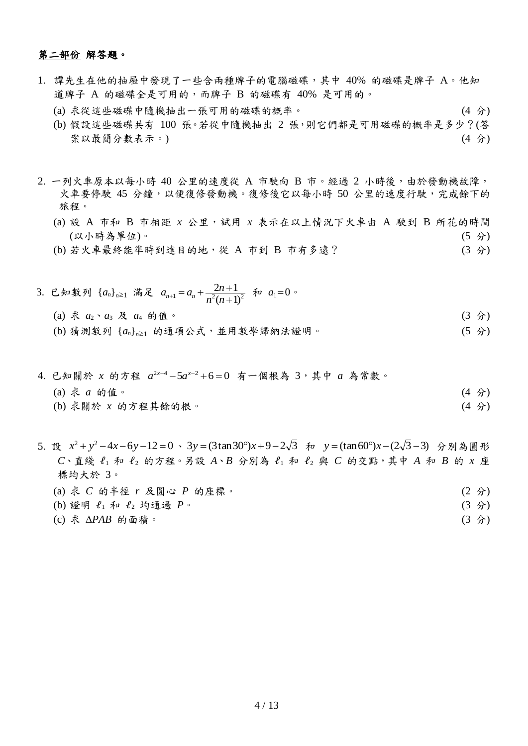### 第二部份 解答題。

- 1. 譚先生在他的抽屜中發現了一些含兩種牌子的電腦磁碟,其中 40% 的磁碟是牌子 A。他知 道牌子 A 的磁碟全是可用的,而牌子 B 的磁碟有 40% 是可用的。
	- (a) 求從這些磁碟中隨機抽出一張可用的磁碟的概率。 (4 分)
	- (b) 假設這些磁碟共有 100 張。若從中隨機抽出 2 張,則它們都是可用磁碟的概率是多少?(答 案以最簡分數表示。) (4 分)
- 2. 一列火車原本以每小時 40 公里的速度從 A 市駛向 B 市。經過 2 小時後,由於發動機故障, 火車要停駛 45 分鐘,以便復修發動機。復修後它以每小時 50 公里的速度行駛,完成餘下的 旅程。
	- (a) 設 A 市和 B 市相距 *x* 公里,試用 *x* 表示在以上情況下火車由 A 駛到 B 所花的時間 (以小時為單位)。 (5 分)
	- (b) 若火車最終能準時到達目的地,從 A 市到 B 市有多遠? (3 分)
- 3. 已知數列 {a<sub>n</sub>}<sub>n≥1</sub> 滿足 a<sub>n+1</sub>=a<sub>n</sub> +  $\frac{2n+1}{n^2(n+1)^2}$  $\frac{2n+1}{2}$  $\ddot{}$  $_{+1} = a_n + \frac{2n+1}{n^2(n+1)}$  $n^2(n)$  $a_{n+1} = a_n + \frac{2n+1}{n^2(n+1)^2}$   $\oint a_1 = 0$ (a) 求  $a_2 \cdot a_3$  及  $a_4$  的值。 (3 分) (b) 猜測數列 { $a_n$ }<sub>n≥1</sub> 的通項公式,並用數學歸納法證明。 (5 分)
- 4. 已知關於 x 的方程  $a^{2x-4}-5a^{x-2}+6=0$  有一個根為 3,其中 a 為常數。 (a) 求 *a* 的值。 (4 分) (b) 求關於 *x* 的方程其餘的根。 (4 分)
- 5. 設  $x^2 + y^2 4x 6y 12 = 0 \cdot 3y = (3\tan 30^\circ)x + 9 2\sqrt{3}$  和  $y = (\tan 60^\circ)x (2\sqrt{3} 3)$  分別為圓形 *C*、直綫 ℓ<sup>1</sup> 和 ℓ<sup>2</sup> 的方程。另設 *A*、*B* 分別為 ℓ<sup>1</sup> 和 ℓ<sup>2</sup> 與 *C* 的交點,其中 *A* 和 *B* 的 *x* 座 標均大於 3。
	- (a) 求 *C* 的半徑 *r* 及圓心 *P* 的座標。 (2 分)
	- (b) 證明 ℓ<sup>1</sup> 和 ℓ<sup>2</sup> 均通過 *P*。 (3 分)
	- (c) 求 *PAB* 的面積。 (3 分)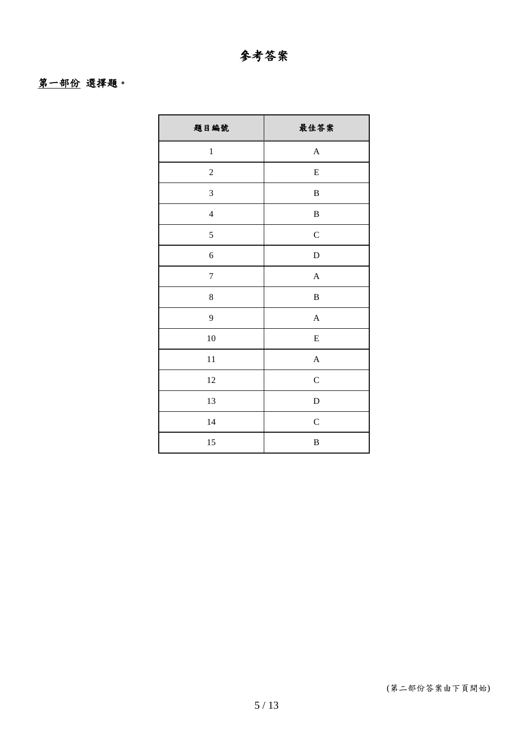## 第一部份 選擇題。

| 題目編號           | 最佳答案             |
|----------------|------------------|
| $\,1$          | $\boldsymbol{A}$ |
| $\overline{c}$ | ${\bf E}$        |
| 3              | $\, {\bf B}$     |
| $\overline{4}$ | $\, {\bf B}$     |
| 5              | $\mathbf C$      |
| 6              | $\mathbf D$      |
| $\overline{7}$ | $\overline{A}$   |
| 8              | $\, {\bf B}$     |
| 9              | $\boldsymbol{A}$ |
| 10             | ${\bf E}$        |
| 11             | $\mathbf{A}$     |
| 12             | $\mathbf C$      |
| 13             | $\mathbf D$      |
| 14             | $\mathbf C$      |
| 15             | $\, {\bf B}$     |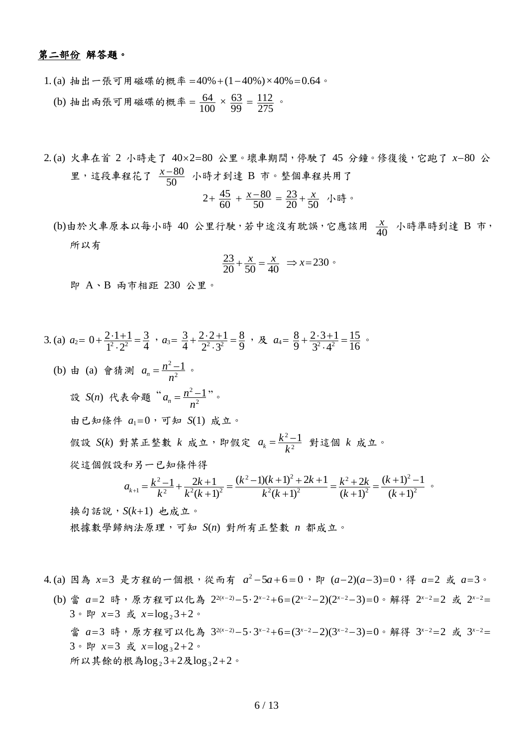### 第二部份 解答題。

- 1. (a) 抽出一張可用磁碟的概率 = 40% +  $(1-40\%) \times 40\% = 0.64$ 。 (b) 抽出兩張可用磁碟的概率 =  $\frac{04}{100}$  $\frac{64}{100} \times \frac{63}{99} = \frac{112}{275}$
- 2. (a) 火車在首 2 小時走了 40×2=80 公里。壞車期間,停駛了 45 分鐘。修復後,它跑了 x-80 公 里,這段車程花了 $\frac{x-c}{50}$  $\frac{x-80}{50}$  小時才到達 B 市。整個車程共用了

2+ 
$$
\frac{45}{60}
$$
 +  $\frac{x-80}{50}$  =  $\frac{23}{20}$  +  $\frac{x}{50}$ 

(b)由於火車原本以每小時 40 公里行駛,若中途沒有耽誤,它應該用  $\frac{x}{40}$  $\frac{x}{10}$  小時準時到達 B 市, 所以有

$$
\frac{23}{20} + \frac{x}{50} = \frac{x}{40} \Rightarrow x = 230 \text{°}
$$

即 A、B 兩市相距 230 公里。

3. (a) 
$$
a_2 = 0 + \frac{2 \cdot 1 + 1}{1^2 \cdot 2^2} = \frac{3}{4} \cdot a_3 = \frac{3}{4} + \frac{2 \cdot 2 + 1}{2^2 \cdot 3^2} = \frac{8}{9} \cdot \mathcal{R}
$$
  $a_4 = \frac{8}{9} + \frac{2 \cdot 3 + 1}{3^2 \cdot 4^2} = \frac{15}{16}$   
\n(b) # (a) 會bold<sup>4</sup> 1/3  $a_n = \frac{n^2 - 1}{n^2}$    
\n32. (b) # 1/4  $a_n = \frac{n^2 - 1}{n^2}$    
\n43. (c) # 1/4  $a_n = \frac{n^2 - 1}{n^2}$    
\n54. (d) # 1/4  $a_n = 0$    
\n55. (e) # 1/4  $a_n = 0$    
\n66. (f) # 1/4  $a_n = 0$    
\n77. (g) 1/4  $a_n = \frac{k^2 - 1}{k^2}$    
\n88. (h) # 1/4  $a_n = \frac{k^2 - 1}{k^2}$    
\n89. (i) 1/4  $a_n = \frac{k^2 - 1}{k^2}$    
\n40. (ii) 1/4  $a_n = \frac{k^2 - 1}{k^2}$    
\n $a_{k+1} = \frac{k^2 - 1}{k^2} + \frac{2k + 1}{k^2(k+1)^2} = \frac{(k^2 - 1)(k + 1)^2 + 2k + 1}{k^2(k+1)^2} = \frac{k^2 + 2k}{(k+1)^2} = \frac{(k+1)^2 - 1}{(k+1)^2}$ 

根據數學歸納法原理,可知 *S*(*n*) 對所有正整數 *n* 都成立。

4.(a) 因為 x=3 是方程的一個根,從而有  $a^2-5a+6=0$ ,即  $(a-2)(a-3)=0$ ,得  $a=2$  或  $a=3$ 。 (b) 當 a=2 時,原方程可以化為 22(x-2)−5·2x-2+6=(2x-2-2)(2x-2-3)=0。解得 2x-2=2 或 2x-2= 3。即 x=3 或 x=log<sub>2</sub>3+2。 當 a=3 時,原方程可以化為 32(x-2)−5·3x-2+6=(3x-2-2)(3x-2-3)=0。解得 3x-2=2 或 3x-2=  $3 \cdot$  即  $x=3$  或  $x=\log_3 2+2$ 。 所以其餘的根為 $log_2 3+2Rlog_3 2+2$ 。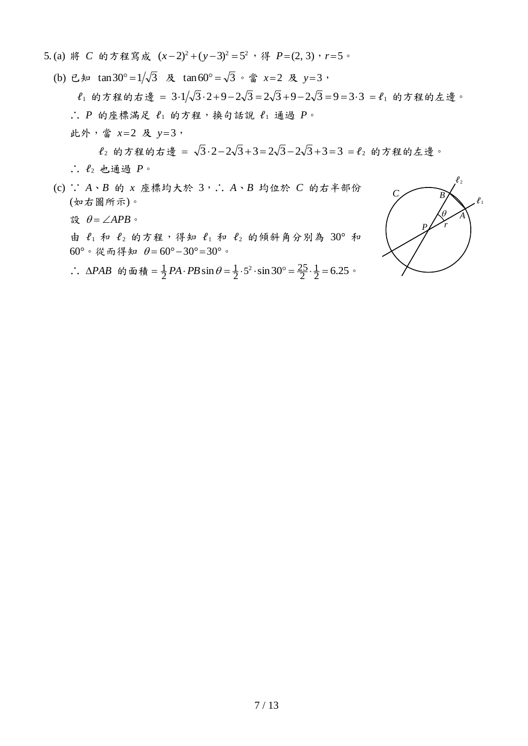- 5.(a) 將 C 的方程寫成  $(x-2)^2 + (y-3)^2 = 5^2$ , 得  $P=(2, 3)$ ,  $r=5$ 。
	- (b) 已知 tan30°=1/ $\sqrt{3}$  及 tan60°= $\sqrt{3}$  · 當  $x=2$  及  $y=3$ ,  $\ell_1$  的方程的右邊 =  $3.1/\sqrt{3}.2 + 9 - 2\sqrt{3} = 2\sqrt{3} + 9 - 2\sqrt{3} = 9 = 3.3 = \ell_1$  的方程的左邊。 ∴ *P* 的座標滿足  $\ell_1$  的方程,换句話說  $\ell_1$  通過  $P$ 。 此外,當 *x*2 及 *y*3,

 $\ell_2$ 的方程的右邊 =  $\sqrt{3} \cdot 2 - 2\sqrt{3} + 3 = 2\sqrt{3} - 2\sqrt{3} + 3 = 3 = \ell_2$ 的方程的左邊。 ∴ ℓ<sup>2</sup> 也通過 *P*。

(c) ∵ *A*、*B* 的 *x* 座標均大於 3,∴ *A*、*B* 均位於 *C* 的右半部份 (如右圖所示)。

設  $\theta = \angle APB$ 。

由  $\ell_1$ 和  $\ell_2$  的方程,得知  $\ell_1$ 和  $\ell_2$  的傾斜角分別為 30° 和 60°。從而得知  $\theta = 60^{\circ} - 30^{\circ} = 30^{\circ}$ 。

∴ *ΔPAB* 的面積 =  $\frac{1}{2}$ *PA* · *PB* sin  $\theta = \frac{1}{2} \cdot 5^2 \cdot \sin 30^\circ = \frac{25}{2} \cdot \frac{1}{2} = 6.25$  $\frac{1}{2} \cdot 5^2 \cdot \sin 30^\circ = \frac{25}{2}$ 1  $\frac{1}{2}PA \cdot PB \sin \theta = \frac{1}{2} \cdot 5^2 \cdot \sin 30^\circ = \frac{25}{2} \cdot \frac{1}{2} = 6.25$ 

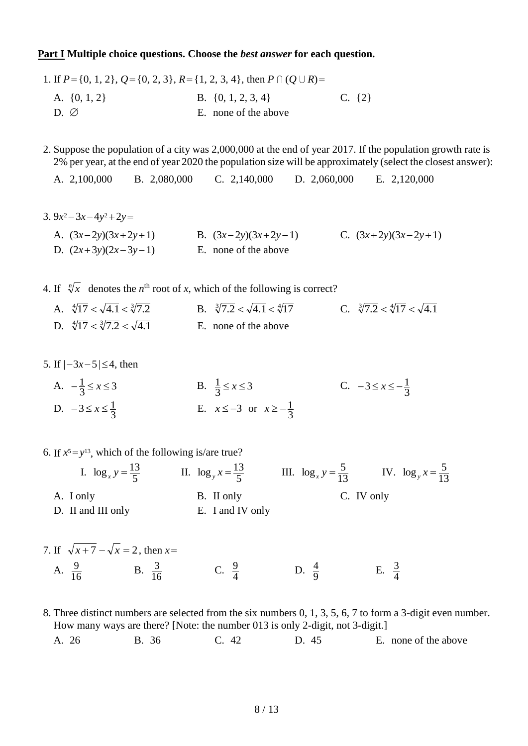#### **Part I Multiple choice questions. Choose the** *best answer* **for each question.**

1. If  $P$  = {0, 1, 2},  $Q$  = {0, 2, 3},  $R$  = {1, 2, 3, 4}, then  $P \cap (Q \cup R)$  = A.  $\{0, 1, 2\}$  B.  $\{0, 1, 2, 3, 4\}$  C.  $\{2\}$  $D. \varnothing$  E. none of the above

2. Suppose the population of a city was 2,000,000 at the end of year 2017. If the population growth rate is 2% per year, at the end of year 2020 the population size will be approximately (select the closest answer):

A. 2,100,000 B. 2,080,000 C. 2,140,000 D. 2,060,000 E. 2,120,000

3.  $9x^2 - 3x - 4y^2 + 2y = 0$ 

A. 
$$
(3x-2y)(3x+2y+1)
$$
 B.  $(3x-2y)(3x+2y-1)$  C.  $(3x+2y)(3x-2y+1)$   
D.  $(2x+3y)(2x-3y-1)$  E. none of the above

4. If  $\sqrt[n]{x}$  denotes the *n*<sup>th</sup> root of *x*, which of the following is correct?

| A. $\sqrt[4]{17} < \sqrt{4.1} < \sqrt[3]{7.2}$ | B. $\sqrt[3]{7.2} < \sqrt{4.1} < \sqrt[4]{17}$ | C. $\sqrt[3]{7.2} < \sqrt[4]{17} < \sqrt{4.1}$ |
|------------------------------------------------|------------------------------------------------|------------------------------------------------|
| D. $\sqrt[4]{17} < \sqrt[3]{7.2} < \sqrt{4.1}$ | E. none of the above                           |                                                |

- 5. If  $|-3x-5| \leq 4$ , then
	- A.  $-\frac{1}{3} \le x \le 3$ B.  $\frac{1}{3} \le x \le 3$ <br>C.  $-3 \le x \le -\frac{1}{3}$ D.  $-3 \le x \le \frac{1}{3}$ E.  $x \le -3$  or  $x \ge -\frac{1}{3}$
- 6. If  $x^5 = y^{13}$ , which of the following is/are true?
	- I.  $\log_x y = \frac{13}{5}$  II.  $\log_y x = \frac{13}{5}$  III.  $\log_x y = \frac{5}{13}$  $\log_x y = \frac{5}{13}$  IV.  $\log_y x = \frac{5}{13}$  $\log_{1} x = \frac{5}{13}$ A. I only B. II only C. IV only D. II and III only **E.** I and IV only
- 7. If  $\sqrt{x+7} \sqrt{x} = 2$ , then  $x=$ A.  $\frac{9}{16}$  $\frac{9}{16}$  B.  $\frac{3}{16}$  $rac{3}{16}$  C.  $rac{9}{4}$  $\frac{9}{4}$  D.  $\frac{4}{9}$  $\frac{4}{9}$  E.  $\frac{3}{4}$ 3

8. Three distinct numbers are selected from the six numbers 0, 1, 3, 5, 6, 7 to form a 3-digit even number. How many ways are there? [Note: the number 013 is only 2-digit, not 3-digit.] A. 26 B. 36 C. 42 D. 45 E. none of the above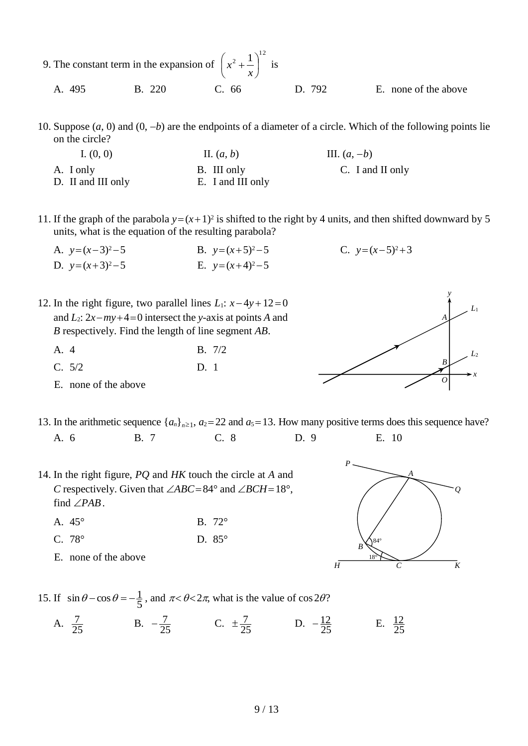|        | 9. The constant term in the expansion of $\left(x^2 + \frac{1}{x}\right)^{12}$ is |                     |                      |
|--------|-----------------------------------------------------------------------------------|---------------------|----------------------|
| A. 495 |                                                                                   | B. 220 C. 66 D. 792 | E. none of the above |

10. Suppose  $(a, 0)$  and  $(0, -b)$  are the endpoints of a diameter of a circle. Which of the following points lie on the circle?

I.  $(0, 0)$  III.  $(a, b)$  III.  $(a, -b)$ A. I only B. III only C. I and II only D. II and III only **E.** I and III only

11. If the graph of the parabola  $y=(x+1)^2$  is shifted to the right by 4 units, and then shifted downward by 5 units, what is the equation of the resulting parabola?

*y*

*O*

*Q*

*A*

*H C K*

*B*

*A*

*x*

*L*2

*L*1

- A.  $y=(x-3)^2-5$  B.  $y=(x+5)^2-5$  C.  $y=(x-5)^2+3$ D.  $y=(x+3)^2-5$  E.  $y=(x+4)^2-5$
- 12. In the right figure, two parallel lines  $L_1$ :  $x 4y + 12 = 0$ and  $L_2$ :  $2x - my + 4 = 0$  intersect the *y*-axis at points *A* and *B* respectively. Find the length of line segment *AB*.
	- A. 4 B. 7/2 C. 5/2 D. 1
	- E. none of the above
- 13. In the arithmetic sequence  $\{a_n\}_{n\geq 1}$ ,  $a_2 = 22$  and  $a_5 = 13$ . How many positive terms does this sequence have? A. 6 B. 7 C. 8 D. 9 E. 10

*P*

*B*

18° 84°

- 14. In the right figure, *PQ* and *HK* touch the circle at *A* and *C* respectively. Given that  $\angle ABC = 84^\circ$  and  $\angle BCH = 18^\circ$ , find  $\angle PAB$ .
	- A. 45° B. 72°
	- C. 78° D. 85°
	- E. none of the above



A.  $\frac{7}{25}$  $\frac{7}{25}$  B.  $-\frac{7}{25}$  C.  $\pm \frac{7}{25}$  D.  $-\frac{12}{25}$  E.  $\frac{12}{25}$ 12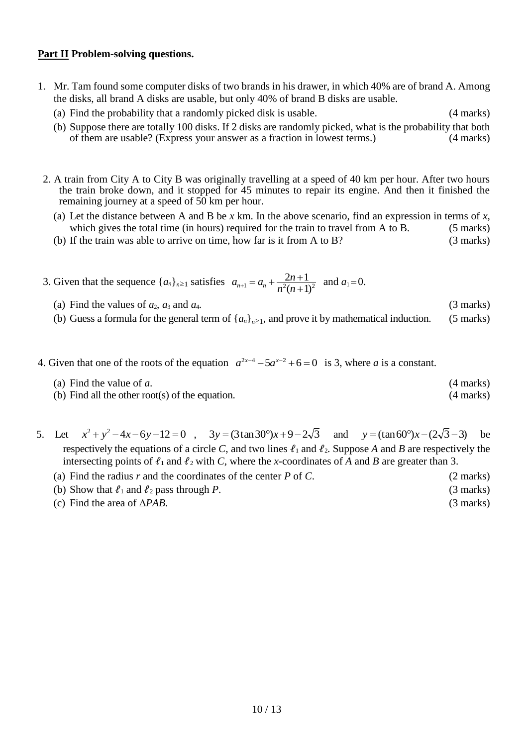### **Part II Problem-solving questions.**

- 1. Mr. Tam found some computer disks of two brands in his drawer, in which 40% are of brand A. Among the disks, all brand A disks are usable, but only 40% of brand B disks are usable.
	- (a) Find the probability that a randomly picked disk is usable. (4 marks)
	- (b) Suppose there are totally 100 disks. If 2 disks are randomly picked, what is the probability that both of them are usable? (Express your answer as a fraction in lowest terms.) (4 marks)
- 2. A train from City A to City B was originally travelling at a speed of 40 km per hour. After two hours the train broke down, and it stopped for 45 minutes to repair its engine. And then it finished the remaining journey at a speed of 50 km per hour.
	- (a) Let the distance between A and B be *x* km. In the above scenario, find an expression in terms of *x*, which gives the total time (in hours) required for the train to travel from A to B. (5 marks)
	- (b) If the train was able to arrive on time, how far is it from A to B? (3 marks)
- 3. Given that the sequence  $\{a_n\}_{n\geq 1}$  satisfies  $a_{n+1} = a_n + \frac{2n+1}{n^2(n+1)^2}$  $\frac{2n+1}{2}$  $\ddot{}$  $_{+1} = a_n + \frac{2n+1}{n^2(n+1)}$  $n^2(n)$  $a_{n+1} = a_n + \frac{2n+1}{n^2(n+1)^2}$  and  $a_1 = 0$ .
	- (a) Find the values of  $a_2$ ,  $a_3$  and  $a_4$ . (3 marks) (b) Guess a formula for the general term of  $\{a_n\}_{n\geq 1}$ , and prove it by mathematical induction. (5 marks)
- 4. Given that one of the roots of the equation  $a^{2x-4} 5a^{x-2} + 6 = 0$  is 3, where *a* is a constant.
	- (a) Find the value of *a*. (4 marks)
	- (b) Find all the other root(s) of the equation. (4 marks)
- 5. Let  $x^2 + y^2 4x 6y 12 = 0$ ,  $3y = (3 \tan 30^\circ)x + 9 2\sqrt{3}$  and  $y = (\tan 60^\circ)x (2\sqrt{3} 3)$ be respectively the equations of a circle *C*, and two lines  $\ell_1$  and  $\ell_2$ . Suppose *A* and *B* are respectively the intersecting points of  $\ell_1$  and  $\ell_2$  with *C*, where the *x*-coordinates of *A* and *B* are greater than 3.
	- (a) Find the radius *r* and the coordinates of the center *P* of *C*. (2 marks)
	- (b) Show that  $\ell_1$  and  $\ell_2$  pass through *P*. (3 marks)
	- (c) Find the area of *PAB*. (3 marks)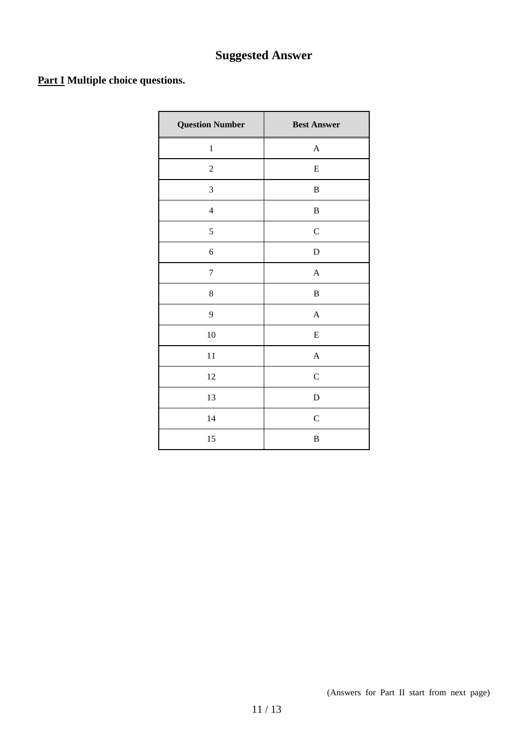# **Suggested Answer**

## **Part I Multiple choice questions.**

| <b>Question Number</b> | <b>Best Answer</b> |
|------------------------|--------------------|
| $\,1$                  | $\boldsymbol{A}$   |
| $\boldsymbol{2}$       | ${\bf E}$          |
| $\mathfrak{Z}$         | $\, {\bf B}$       |
| $\overline{4}$         | $\, {\bf B}$       |
| $\mathfrak s$          | $\mathbf C$        |
| $\sqrt{6}$             | D                  |
| $\overline{7}$         | $\mathbf{A}$       |
| $\,8$                  | $\, {\bf B}$       |
| 9                      | $\boldsymbol{A}$   |
| 10                     | ${\bf E}$          |
| 11                     | $\mathbf{A}$       |
| 12                     | $\mathbf C$        |
| 13                     | $\mathbf D$        |
| 14                     | $\mathbf C$        |
| 15                     | $\, {\bf B}$       |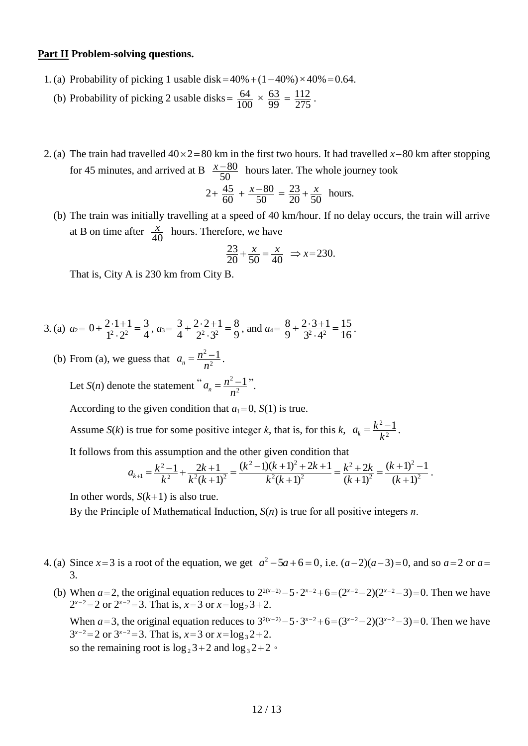#### **Part II Problem-solving questions.**

- 1. (a) Probability of picking 1 usable disk =  $40\% + (1-40\%) \times 40\% = 0.64$ .
	- (b) Probability of picking 2 usable disks =  $\frac{04}{100}$  $\frac{64}{100} \times \frac{63}{99} = \frac{112}{275}$  $\frac{112}{275}$ .
- 2. (a) The train had travelled  $40 \times 2 = 80$  km in the first two hours. It had travelled  $x-80$  km after stopping for 45 minutes, and arrived at B  $\frac{x-c}{50}$  $\frac{x-80}{50}$  hours later. The whole journey took

$$
2 + \frac{45}{60} + \frac{x - 80}{50} = \frac{23}{20} + \frac{x}{50}
$$
 hours.

(b) The train was initially travelling at a speed of 40 km/hour. If no delay occurs, the train will arrive at B on time after  $\frac{x}{40}$  $\frac{x}{40}$  hours. Therefore, we have

$$
\frac{23}{20} + \frac{x}{50} = \frac{x}{40} \Rightarrow x = 230.
$$

That is, City A is 230 km from City B.

3. (a)  $a_2 = 0 + \frac{2 \cdot 1 + 1}{1^2 \cdot 2^2} = \frac{3}{4}$ 3  $1^2 \cdot 2$  $0 + \frac{2 \cdot 1 + 1}{1^2 \cdot 2^2} =$ .  $+\frac{2\cdot1+1}{1^2\cdot2^2}=\frac{3}{4}$ ,  $a_3=\frac{3}{4}+\frac{2\cdot2+1}{2^2\cdot3^2}=\frac{8}{9}$ 8  $2^2 \cdot 3$  $2 \cdot 2 + 1$ 4  $\frac{3}{4} + \frac{2 \cdot 2 + 1}{2^2 \cdot 3^2} =$ .  $+\frac{2\cdot 2+1}{2^2\cdot 3^2} = \frac{8}{9}$ , and  $a_4 = \frac{8}{9} + \frac{2\cdot 3+1}{3^2\cdot 4^2} = \frac{15}{16}$ 15  $3^2 \cdot 4$  $2 \cdot 3 + 1$ 9  $\frac{8}{9} + \frac{2 \cdot 3 + 1}{3^2 A^2} =$ .  $+\frac{2\cdot3+1}{2^2-4^2}=\frac{15}{16}$ .

(b) From (a), we guess that  $a_n = \frac{n}{n^2}$  $\frac{2-1}{2}$  $a_n = \frac{n^2 - 1}{n^2}$ .

Let *S*(*n*) denote the statement " $a_n = \frac{n^2 - 1}{n^2}$  $\frac{2-1}{2}$  $a_n = \frac{n^2 - 1}{n^2}$ 

According to the given condition that  $a_1 = 0$ ,  $S(1)$  is true.

Assume *S*(*k*) is true for some positive integer *k*, that is, for this *k*,  $a_k = \frac{k}{k^2}$  $\frac{2-1}{2}$  $a_k = \frac{k^2 - 1}{k^2}$ .

It follows from this assumption and the other given condition that

$$
a_{k+1} = \frac{k^2 - 1}{k^2} + \frac{2k + 1}{k^2(k+1)^2} = \frac{(k^2 - 1)(k+1)^2 + 2k + 1}{k^2(k+1)^2} = \frac{k^2 + 2k}{(k+1)^2} = \frac{(k+1)^2 - 1}{(k+1)^2}.
$$

In other words,  $S(k+1)$  is also true.

By the Principle of Mathematical Induction, *S*(*n*) is true for all positive integers *n*.

- 4. (a) Since  $x = 3$  is a root of the equation, we get  $a^2 5a + 6 = 0$ , i.e.  $(a-2)(a-3) = 0$ , and so  $a = 2$  or  $a = 1$ 3.
	- (b) When *a*=2, the original equation reduces to  $2^{2(x-2)} 5 \cdot 2^{x-2} + 6 = (2^{x-2} 2)(2^{x-2} 3) = 0$ . Then we have  $2^{x-2}=2$  or  $2^{x-2}=3$ . That is,  $x=3$  or  $x=\log_2 3+2$ .

When *a*=3, the original equation reduces to  $3^{2(x-2)} - 5 \cdot 3^{x-2} + 6 = (3^{x-2} - 2)(3^{x-2} - 3) = 0$ . Then we have  $3^{x-2}=2$  or  $3^{x-2}=3$ . That is,  $x=3$  or  $x=\log_3 2+2$ . so the remaining root is  $\log_2 3+2$  and  $\log_3 2+2$ .